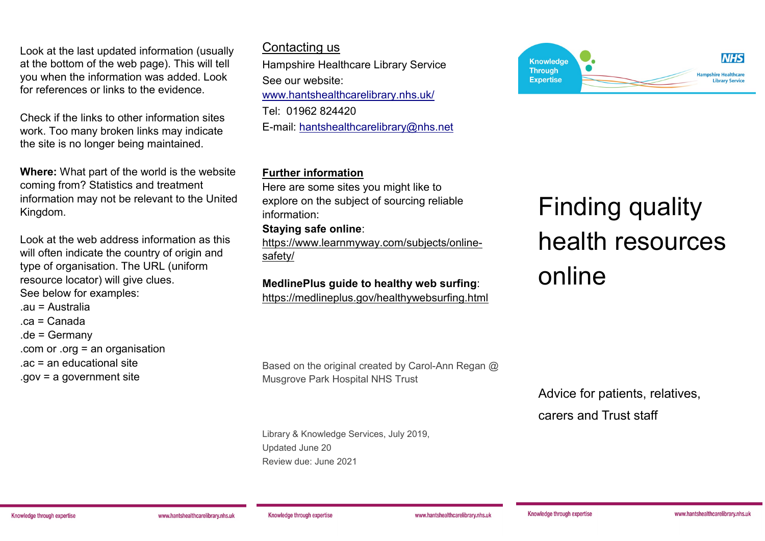Look at the last updated information (usually at the bottom of the web page). This will tell you when the information was added. Look for references or links to the evidence.

Check if the links to other information sites work. Too many broken links may indicate the site is no longer being maintained.

**Where:** What part of the world is the website coming from? Statistics and treatment information may not be relevant to the United Kingdom.

Look at the web address information as this will often indicate the country of origin and type of organisation. The URL (uniform resource locator) will give clues. See below for examples: .au = Australia .ca = Canada .de = Germany

.com or .org = an organisation

.ac = an educational site

.gov = a government site

#### Contacting us

Hampshire Healthcare Library Service See our website: [www.hantshealthcarelibrary.nhs.uk/](http://www.hantshealthcarelibrary.nhs.uk/) Tel: 01962 824420 E-mail: [hantshealthcarelibrary@nhs.net](mailto:hantshealthcarelibrary@nhs.net)

#### **Further information**

Here are some sites you might like to explore on the subject of sourcing reliable information:

#### **Staying safe online**:

[https://www.learnmyway.com/subjects/online](https://www.learnmyway.com/subjects/online-safety/)[safety/](https://www.learnmyway.com/subjects/online-safety/)

## **MedlinePlus guide to healthy web surfing**:

<https://medlineplus.gov/healthywebsurfing.html>



# Finding quality health resources online

Based on the original created by Carol-Ann Regan @ Musgrove Park Hospital NHS Trust

Library & Knowledge Services, July 2019, Updated June 20 Review due: June 2021

Advice for patients, relatives,

carers and Trust staff